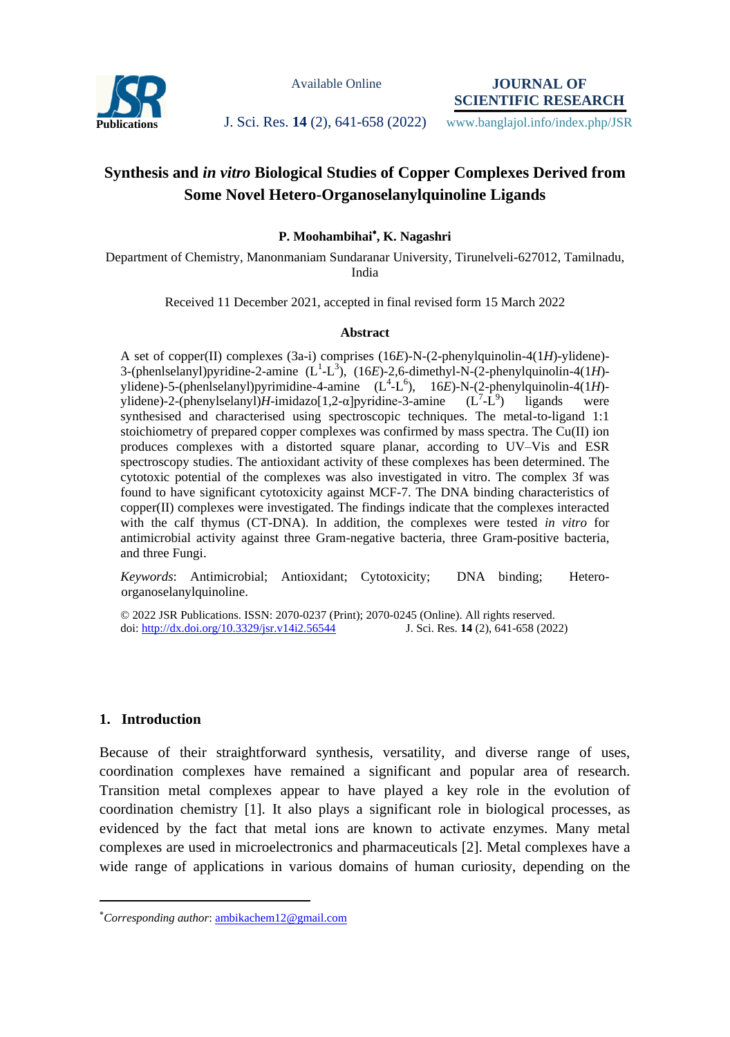

Available Online

**JOURNAL OF SCIENTIFIC RESEARCH**

Publications **J. Sci. Res. 14 (2), 641-658 (2022)** www.banglajol.info/index.php/JSR

# **Synthesis and** *in vitro* **Biological Studies of Copper Complexes Derived from Some Novel Hetero-Organoselanylquinoline Ligands**

## **P. Moohambihai , K. Nagashri**

Department of Chemistry, Manonmaniam Sundaranar University, Tirunelveli-627012, Tamilnadu, India

Received 11 December 2021, accepted in final revised form 15 March 2022

#### **Abstract**

A set of copper(II) complexes (3a-i) comprises (16*E*)-N-(2-phenylquinolin-4(1*H*)-ylidene)- 3-(phenlselanyl)pyridine-2-amine  $(L^1-L^3)$ ,  $(16E)$ -2,6-dimethyl-N-(2-phenylquinolin-4(1*H*)ylidene)-5-(phenlselanyl)pyrimidine-4-amine  $(L^4-L^6)$ , 16E)-N-(2-phenylquinolin-4(1H)ylidene)-2-(phenylselanyl)*H*-imidazo[1,2- $\alpha$ ]pyridine-3-amine  $-L^9$ ligands were synthesised and characterised using spectroscopic techniques. The metal-to-ligand 1:1 stoichiometry of prepared copper complexes was confirmed by mass spectra. The  $Cu(II)$  ion produces complexes with a distorted square planar, according to UV–Vis and ESR spectroscopy studies. The antioxidant activity of these complexes has been determined. The cytotoxic potential of the complexes was also investigated in vitro. The complex 3f was found to have significant cytotoxicity against MCF-7. The DNA binding characteristics of copper(II) complexes were investigated. The findings indicate that the complexes interacted with the calf thymus (CT-DNA). In addition, the complexes were tested *in vitro* for antimicrobial activity against three Gram-negative bacteria, three Gram-positive bacteria, and three Fungi.

*Keywords*: Antimicrobial; Antioxidant; Cytotoxicity; DNA binding; Heteroorganoselanylquinoline.

© 2022 JSR Publications. ISSN: 2070-0237 (Print); 2070-0245 (Online). All rights reserved. doi:<http://dx.doi.org/10.3329/jsr.v14i2.56544>J. Sci. Res. **14** (2), 641-658 (2022)

#### **1. Introduction**

 $\overline{a}$ 

Because of their straightforward synthesis, versatility, and diverse range of uses, coordination complexes have remained a significant and popular area of research. Transition metal complexes appear to have played a key role in the evolution of coordination chemistry [1]. It also plays a significant role in biological processes, as evidenced by the fact that metal ions are known to activate enzymes. Many metal complexes are used in microelectronics and pharmaceuticals [2]. Metal complexes have a wide range of applications in various domains of human curiosity, depending on the

*Corresponding author*[: ambikachem12@gmail.com](mailto:mahbubchem@cu.ac.bd)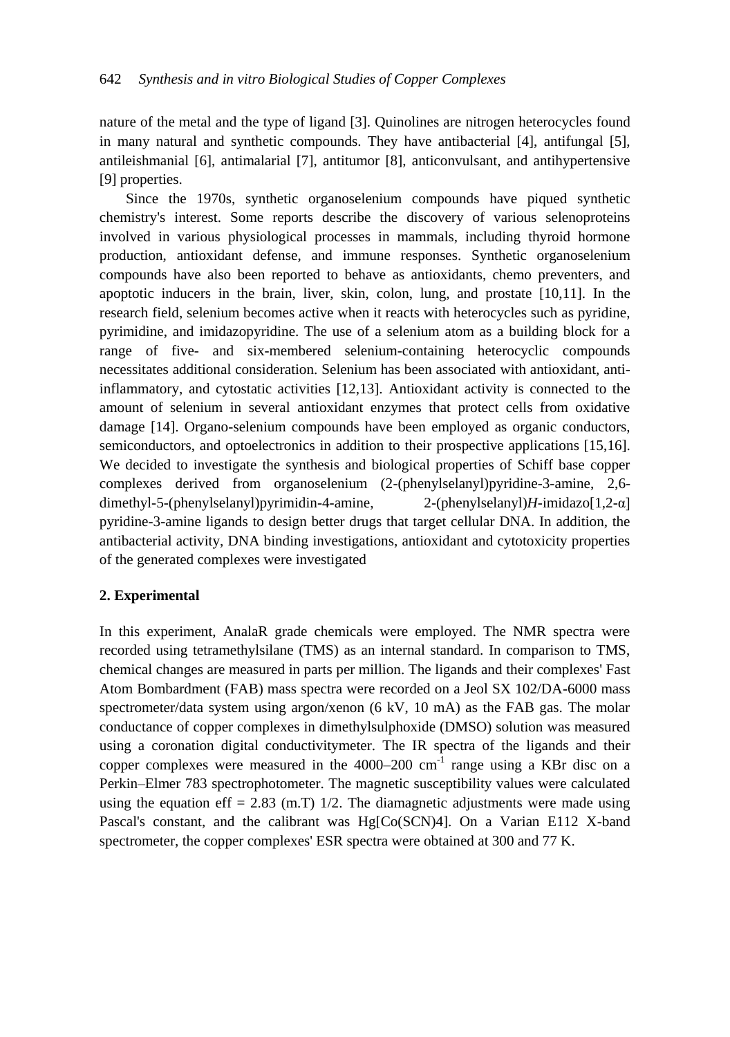nature of the metal and the type of ligand [3]. Quinolines are nitrogen heterocycles found in many natural and synthetic compounds. They have antibacterial [4], antifungal [5], antileishmanial [6], antimalarial [7], antitumor [8], anticonvulsant, and antihypertensive [9] properties.

Since the 1970s, synthetic organoselenium compounds have piqued synthetic chemistry's interest. Some reports describe the discovery of various selenoproteins involved in various physiological processes in mammals, including thyroid hormone production, antioxidant defense, and immune responses. Synthetic organoselenium compounds have also been reported to behave as antioxidants, chemo preventers, and apoptotic inducers in the brain, liver, skin, colon, lung, and prostate [10,11]. In the research field, selenium becomes active when it reacts with heterocycles such as pyridine, pyrimidine, and imidazopyridine. The use of a selenium atom as a building block for a range of five- and six-membered selenium-containing heterocyclic compounds necessitates additional consideration. Selenium has been associated with antioxidant, antiinflammatory, and cytostatic activities [12,13]. Antioxidant activity is connected to the amount of selenium in several antioxidant enzymes that protect cells from oxidative damage [14]. Organo-selenium compounds have been employed as organic conductors, semiconductors, and optoelectronics in addition to their prospective applications [15,16]. We decided to investigate the synthesis and biological properties of Schiff base copper complexes derived from organoselenium (2-(phenylselanyl)pyridine-3-amine, 2,6 dimethyl-5-(phenylselanyl)pyrimidin-4-amine, 2-(phenylselanyl)*H*-imidazo[1,2-α] pyridine-3-amine ligands to design better drugs that target cellular DNA. In addition, the antibacterial activity, DNA binding investigations, antioxidant and cytotoxicity properties of the generated complexes were investigated

# **2. Experimental**

In this experiment, AnalaR grade chemicals were employed. The NMR spectra were recorded using tetramethylsilane (TMS) as an internal standard. In comparison to TMS, chemical changes are measured in parts per million. The ligands and their complexes' Fast Atom Bombardment (FAB) mass spectra were recorded on a Jeol SX 102/DA-6000 mass spectrometer/data system using argon/xenon (6 kV, 10 mA) as the FAB gas. The molar conductance of copper complexes in dimethylsulphoxide (DMSO) solution was measured using a coronation digital conductivitymeter. The IR spectra of the ligands and their copper complexes were measured in the  $4000-200$  cm<sup>-1</sup> range using a KBr disc on a Perkin–Elmer 783 spectrophotometer. The magnetic susceptibility values were calculated using the equation eff = 2.83 (m.T)  $1/2$ . The diamagnetic adjustments were made using Pascal's constant, and the calibrant was Hg[Co(SCN)4]. On a Varian E112 X-band spectrometer, the copper complexes' ESR spectra were obtained at 300 and 77 K.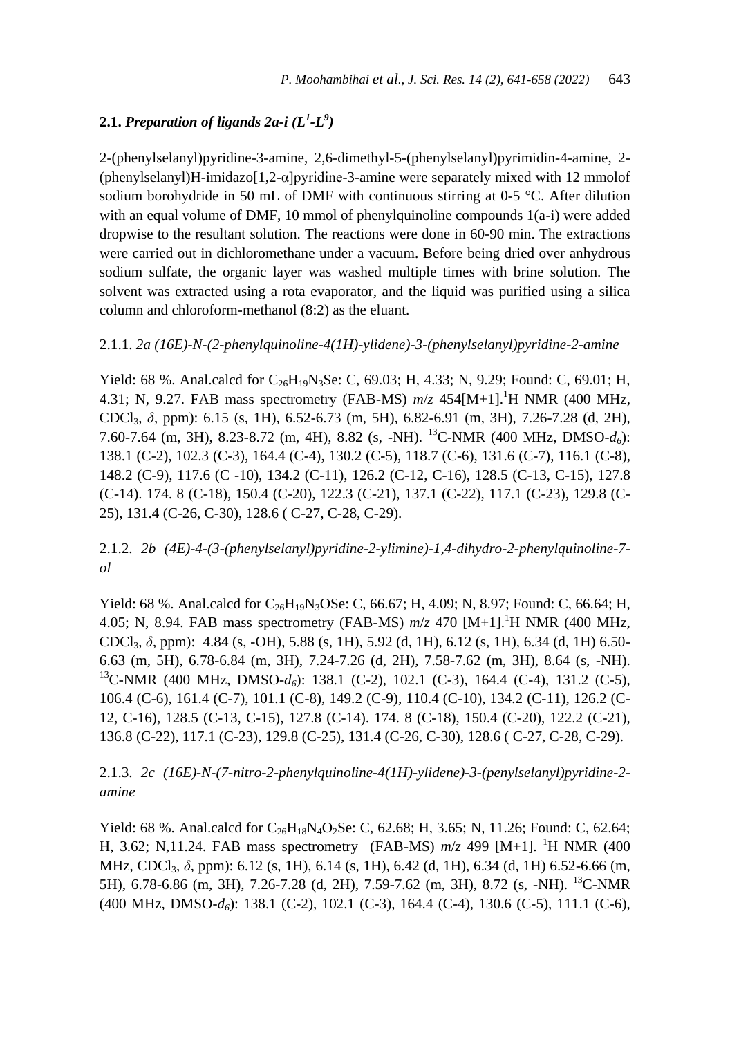# **2.1.** Preparation of ligands 2a-i  $(L^1 \text{-} L^9)$

2-(phenylselanyl)pyridine-3-amine, 2,6-dimethyl-5-(phenylselanyl)pyrimidin-4-amine, 2- (phenylselanyl)H-imidazo[1,2-α]pyridine-3-amine were separately mixed with 12 mmolof sodium borohydride in 50 mL of DMF with continuous stirring at 0-5 °C. After dilution with an equal volume of DMF, 10 mmol of phenylquinoline compounds  $1(a-i)$  were added dropwise to the resultant solution. The reactions were done in 60-90 min. The extractions were carried out in dichloromethane under a vacuum. Before being dried over anhydrous sodium sulfate, the organic layer was washed multiple times with brine solution. The solvent was extracted using a rota evaporator, and the liquid was purified using a silica column and chloroform-methanol (8:2) as the eluant.

2.1.1. *2a (16E)-N-(2-phenylquinoline-4(1H)-ylidene)-3-(phenylselanyl)pyridine-2-amine*

Yield: 68 %. Anal.calcd for  $C_{26}H_{19}N_3$ Se: C, 69.03; H, 4.33; N, 9.29; Found: C, 69.01; H, 4.31; N, 9.27. FAB mass spectrometry (FAB-MS)  $m/z$  454[M+1].<sup>1</sup>H NMR (400 MHz, CDCl3, *δ*, ppm): 6.15 (s, 1H), 6.52-6.73 (m, 5H), 6.82-6.91 (m, 3H), 7.26-7.28 (d, 2H), 7.60-7.64 (m, 3H), 8.23-8.72 (m, 4H), 8.82 (s, -NH). <sup>13</sup>C-NMR (400 MHz, DMSO-*d6*): 138.1 (C-2), 102.3 (C-3), 164.4 (C-4), 130.2 (C-5), 118.7 (C-6), 131.6 (C-7), 116.1 (C-8), 148.2 (C-9), 117.6 (C -10), 134.2 (C-11), 126.2 (C-12, C-16), 128.5 (C-13, C-15), 127.8 (C-14). 174. 8 (C-18), 150.4 (C-20), 122.3 (C-21), 137.1 (C-22), 117.1 (C-23), 129.8 (C-25), 131.4 (C-26, C-30), 128.6 ( C-27, C-28, C-29).

2.1.2. *2b (4E)-4-(3-(phenylselanyl)pyridine-2-ylimine)-1,4-dihydro-2-phenylquinoline-7 ol*

Yield: 68 %. Anal.calcd for  $C_{26}H_{19}N_3OSe$ : C, 66.67; H, 4.09; N, 8.97; Found: C, 66.64; H, 4.05; N, 8.94. FAB mass spectrometry (FAB-MS) *m*/*z* 470 [M+1].<sup>1</sup>H NMR (400 MHz, CDCl3, *δ*, ppm): 4.84 (s, -OH), 5.88 (s, 1H), 5.92 (d, 1H), 6.12 (s, 1H), 6.34 (d, 1H) 6.50- 6.63 (m, 5H), 6.78-6.84 (m, 3H), 7.24-7.26 (d, 2H), 7.58-7.62 (m, 3H), 8.64 (s, -NH). <sup>13</sup>C-NMR (400 MHz, DMSO-*d6*): 138.1 (C-2), 102.1 (C-3), 164.4 (C-4), 131.2 (C-5), 106.4 (C-6), 161.4 (C-7), 101.1 (C-8), 149.2 (C-9), 110.4 (C-10), 134.2 (C-11), 126.2 (C-12, C-16), 128.5 (C-13, C-15), 127.8 (C-14). 174. 8 (C-18), 150.4 (C-20), 122.2 (C-21), 136.8 (C-22), 117.1 (C-23), 129.8 (C-25), 131.4 (C-26, C-30), 128.6 ( C-27, C-28, C-29).

# 2.1.3. *2c (16E)-N-(7-nitro-2-phenylquinoline-4(1H)-ylidene)-3-(penylselanyl)pyridine-2 amine*

Yield: 68 %. Anal.calcd for  $C_{26}H_{18}N_4O_2Se$ : C, 62.68; H, 3.65; N, 11.26; Found: C, 62.64; H, 3.62; N,11.24. FAB mass spectrometry (FAB-MS) *m*/*z* 499 [M+1]. <sup>1</sup>H NMR (400 MHz, CDCl<sub>3</sub>, δ, ppm): 6.12 (s, 1H), 6.14 (s, 1H), 6.42 (d, 1H), 6.34 (d, 1H) 6.52-6.66 (m, 5H), 6.78-6.86 (m, 3H), 7.26-7.28 (d, 2H), 7.59-7.62 (m, 3H), 8.72 (s, -NH). <sup>13</sup>C-NMR (400 MHz, DMSO-*d6*): 138.1 (C-2), 102.1 (C-3), 164.4 (C-4), 130.6 (C-5), 111.1 (C-6),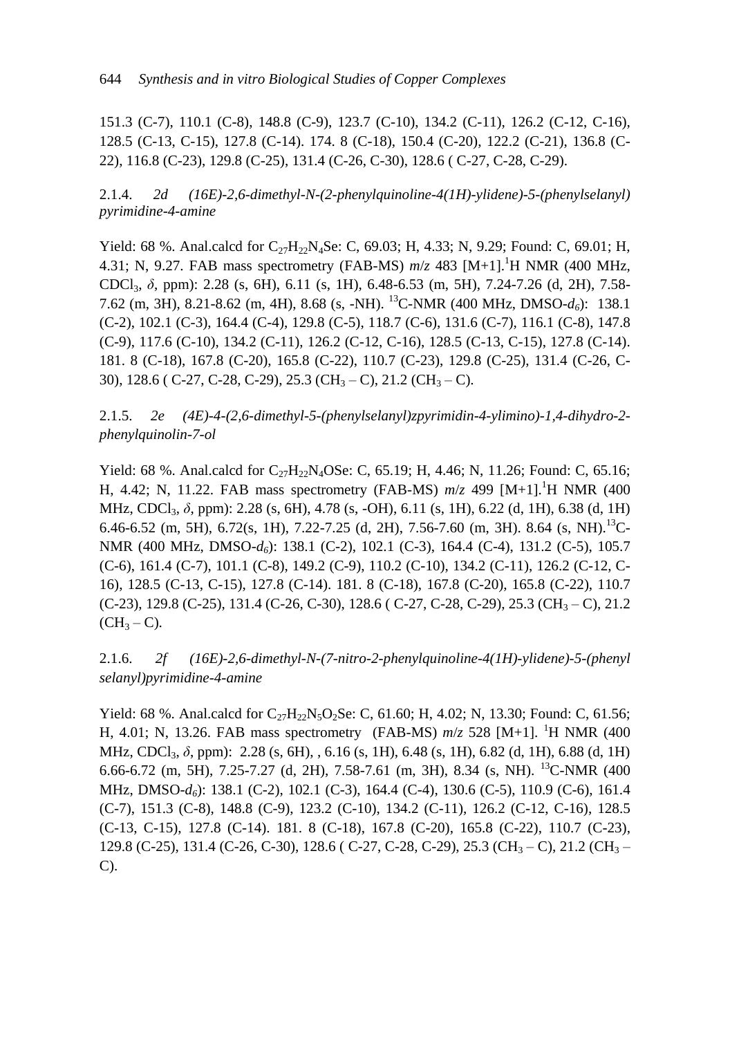151.3 (C-7), 110.1 (C-8), 148.8 (C-9), 123.7 (C-10), 134.2 (C-11), 126.2 (C-12, C-16), 128.5 (C-13, C-15), 127.8 (C-14). 174. 8 (C-18), 150.4 (C-20), 122.2 (C-21), 136.8 (C-22), 116.8 (C-23), 129.8 (C-25), 131.4 (C-26, C-30), 128.6 ( C-27, C-28, C-29).

2.1.4. *2d (16E)-2,6-dimethyl-N-(2-phenylquinoline-4(1H)-ylidene)-5-(phenylselanyl) pyrimidine-4-amine*

Yield: 68 %. Anal.calcd for  $C_{27}H_{22}N_4$ Se: C, 69.03; H, 4.33; N, 9.29; Found: C, 69.01; H, 4.31; N, 9.27. FAB mass spectrometry (FAB-MS) *m*/*z* 483 [M+1].<sup>1</sup>H NMR (400 MHz, CDCl3, *δ*, ppm): 2.28 (s, 6H), 6.11 (s, 1H), 6.48-6.53 (m, 5H), 7.24-7.26 (d, 2H), 7.58- 7.62 (m, 3H), 8.21-8.62 (m, 4H), 8.68 (s, -NH). <sup>13</sup>C-NMR (400 MHz, DMSO-*d6*): 138.1 (C-2), 102.1 (C-3), 164.4 (C-4), 129.8 (C-5), 118.7 (C-6), 131.6 (C-7), 116.1 (C-8), 147.8 (C-9), 117.6 (C-10), 134.2 (C-11), 126.2 (C-12, C-16), 128.5 (C-13, C-15), 127.8 (C-14). 181. 8 (C-18), 167.8 (C-20), 165.8 (C-22), 110.7 (C-23), 129.8 (C-25), 131.4 (C-26, C-30), 128.6 ( C-27, C-28, C-29), 25.3 (CH<sub>3</sub> – C), 21.2 (CH<sub>3</sub> – C).

2.1.5. *2e (4E)-4-(2,6-dimethyl-5-(phenylselanyl)zpyrimidin-4-ylimino)-1,4-dihydro-2 phenylquinolin-7-ol*

Yield: 68 %. Anal.calcd for  $C_{27}H_{22}N_4OSe$ : C, 65.19; H, 4.46; N, 11.26; Found: C, 65.16; H, 4.42; N, 11.22. FAB mass spectrometry (FAB-MS) *m*/*z* 499 [M+1].<sup>1</sup>H NMR (400 MHz, CDCl<sub>3</sub>, δ, ppm): 2.28 (s, 6H), 4.78 (s, -OH), 6.11 (s, 1H), 6.22 (d, 1H), 6.38 (d, 1H) 6.46-6.52 (m, 5H), 6.72(s, 1H), 7.22-7.25 (d, 2H), 7.56-7.60 (m, 3H). 8.64 (s, NH).<sup>13</sup>C-NMR (400 MHz, DMSO-*d6*): 138.1 (C-2), 102.1 (C-3), 164.4 (C-4), 131.2 (C-5), 105.7 (C-6), 161.4 (C-7), 101.1 (C-8), 149.2 (C-9), 110.2 (C-10), 134.2 (C-11), 126.2 (C-12, C-16), 128.5 (C-13, C-15), 127.8 (C-14). 181. 8 (C-18), 167.8 (C-20), 165.8 (C-22), 110.7  $(C-23)$ , 129.8  $(C-25)$ , 131.4  $(C-26, C-30)$ , 128.6  $(C-27, C-28, C-29)$ , 25.3  $(CH_3 - C)$ , 21.2  $(CH_3 - C)$ .

2.1.6. *2f (16E)-2,6-dimethyl-N-(7-nitro-2-phenylquinoline-4(1H)-ylidene)-5-(phenyl selanyl)pyrimidine-4-amine*

Yield: 68 %. Anal.calcd for  $C_{27}H_{22}N_5O_2$ Se: C, 61.60; H, 4.02; N, 13.30; Found: C, 61.56; H, 4.01; N, 13.26. FAB mass spectrometry (FAB-MS)  $m/z$  528 [M+1]. <sup>1</sup>H NMR (400 MHz, CDCl<sub>3</sub>, δ, ppm): 2.28 (s, 6H), , 6.16 (s, 1H), 6.48 (s, 1H), 6.82 (d, 1H), 6.88 (d, 1H) 6.66-6.72 (m, 5H), 7.25-7.27 (d, 2H), 7.58-7.61 (m, 3H), 8.34 (s, NH). <sup>13</sup>C-NMR (400 MHz, DMSO-*d6*): 138.1 (C-2), 102.1 (C-3), 164.4 (C-4), 130.6 (C-5), 110.9 (C-6), 161.4 (C-7), 151.3 (C-8), 148.8 (C-9), 123.2 (C-10), 134.2 (C-11), 126.2 (C-12, C-16), 128.5 (C-13, C-15), 127.8 (C-14). 181. 8 (C-18), 167.8 (C-20), 165.8 (C-22), 110.7 (C-23), 129.8 (C-25), 131.4 (C-26, C-30), 128.6 ( C-27, C-28, C-29), 25.3 (CH<sub>3</sub> – C), 21.2 (CH<sub>3</sub> – C).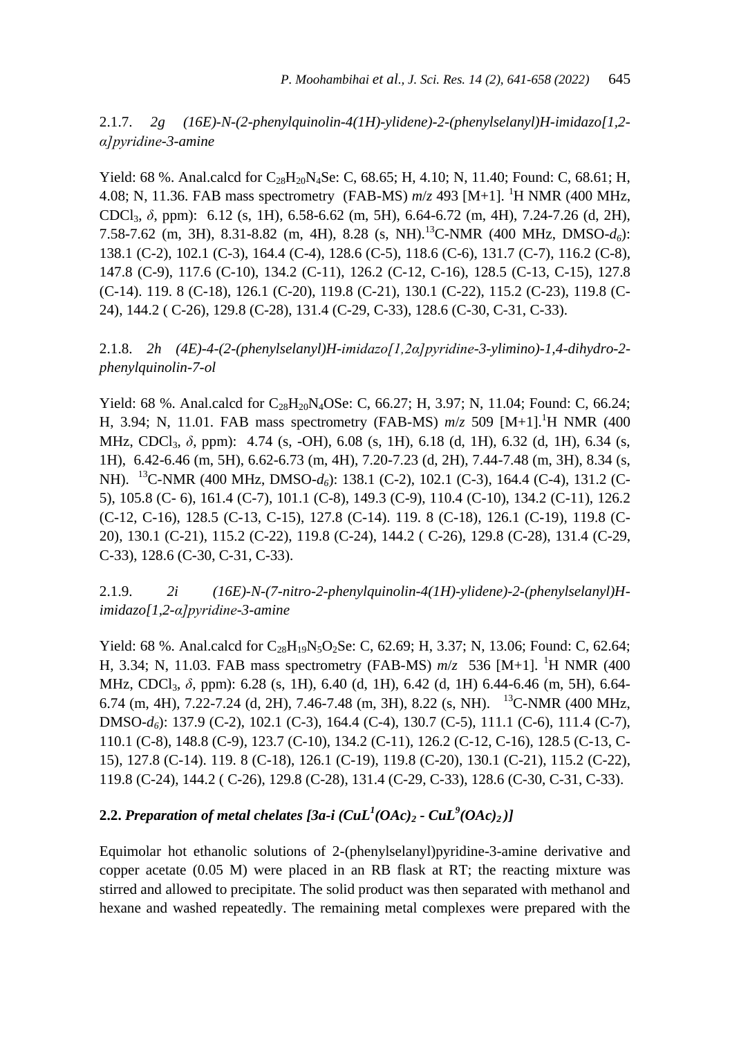2.1.7. *2g (16E)-N-(2-phenylquinolin-4(1H)-ylidene)-2-(phenylselanyl)H-imidazo[1,2 α]pyridine-3-amine*

Yield: 68 %. Anal.calcd for  $C_{28}H_{20}N_4$ Se: C, 68.65; H, 4.10; N, 11.40; Found: C, 68.61; H, 4.08; N, 11.36. FAB mass spectrometry (FAB-MS)  $m/z$  493 [M+1]. <sup>1</sup>H NMR (400 MHz, CDCl3, *δ*, ppm): 6.12 (s, 1H), 6.58-6.62 (m, 5H), 6.64-6.72 (m, 4H), 7.24-7.26 (d, 2H), 7.58-7.62 (m, 3H), 8.31-8.82 (m, 4H), 8.28 (s, NH).<sup>13</sup>C-NMR (400 MHz, DMSO-*d6*): 138.1 (C-2), 102.1 (C-3), 164.4 (C-4), 128.6 (C-5), 118.6 (C-6), 131.7 (C-7), 116.2 (C-8), 147.8 (C-9), 117.6 (C-10), 134.2 (C-11), 126.2 (C-12, C-16), 128.5 (C-13, C-15), 127.8 (C-14). 119. 8 (C-18), 126.1 (C-20), 119.8 (C-21), 130.1 (C-22), 115.2 (C-23), 119.8 (C-24), 144.2 ( C-26), 129.8 (C-28), 131.4 (C-29, C-33), 128.6 (C-30, C-31, C-33).

2.1.8. *2h (4E)-4-(2-(phenylselanyl)H-imidazo[1,2α]pyridine-3-ylimino)-1,4-dihydro-2 phenylquinolin-7-ol*

Yield: 68 %. Anal.calcd for  $C_{28}H_{20}N_4OSe$ : C, 66.27; H, 3.97; N, 11.04; Found: C, 66.24; H, 3.94; N, 11.01. FAB mass spectrometry (FAB-MS) *m*/*z* 509 [M+1].<sup>1</sup>H NMR (400 MHz, CDCl<sub>3</sub>, δ, ppm): 4.74 (s, -OH), 6.08 (s, 1H), 6.18 (d, 1H), 6.32 (d, 1H), 6.34 (s, 1H), 6.42-6.46 (m, 5H), 6.62-6.73 (m, 4H), 7.20-7.23 (d, 2H), 7.44-7.48 (m, 3H), 8.34 (s, NH). <sup>13</sup>C-NMR (400 MHz, DMSO-*d6*): 138.1 (C-2), 102.1 (C-3), 164.4 (C-4), 131.2 (C-5), 105.8 (C- 6), 161.4 (C-7), 101.1 (C-8), 149.3 (C-9), 110.4 (C-10), 134.2 (C-11), 126.2 (C-12, C-16), 128.5 (C-13, C-15), 127.8 (C-14). 119. 8 (C-18), 126.1 (C-19), 119.8 (C-20), 130.1 (C-21), 115.2 (C-22), 119.8 (C-24), 144.2 ( C-26), 129.8 (C-28), 131.4 (C-29, C-33), 128.6 (C-30, C-31, C-33).

2.1.9. *2i (16E)-N-(7-nitro-2-phenylquinolin-4(1H)-ylidene)-2-(phenylselanyl)Himidazo[1,2-α]pyridine-3-amine*

Yield: 68 %. Anal.calcd for  $C_{28}H_{19}N_5O_2$ Se: C, 62.69; H, 3.37; N, 13.06; Found: C, 62.64; H, 3.34; N, 11.03. FAB mass spectrometry (FAB-MS)  $m/z$  536 [M+1]. <sup>1</sup>H NMR (400 MHz, CDCl<sub>3</sub>, δ, ppm): 6.28 (s, 1H), 6.40 (d, 1H), 6.42 (d, 1H) 6.44-6.46 (m, 5H), 6.64-6.74 (m, 4H), 7.22-7.24 (d, 2H), 7.46-7.48 (m, 3H), 8.22 (s, NH). <sup>13</sup>C-NMR (400 MHz, DMSO-*d6*): 137.9 (C-2), 102.1 (C-3), 164.4 (C-4), 130.7 (C-5), 111.1 (C-6), 111.4 (C-7), 110.1 (C-8), 148.8 (C-9), 123.7 (C-10), 134.2 (C-11), 126.2 (C-12, C-16), 128.5 (C-13, C-15), 127.8 (C-14). 119. 8 (C-18), 126.1 (C-19), 119.8 (C-20), 130.1 (C-21), 115.2 (C-22), 119.8 (C-24), 144.2 ( C-26), 129.8 (C-28), 131.4 (C-29, C-33), 128.6 (C-30, C-31, C-33).

# **2.2.** *Preparation of metal chelates [3a-i (CuL<sup>1</sup> (OAc)<sup>2</sup> - CuL<sup>9</sup> (OAc)2 )]*

Equimolar hot ethanolic solutions of 2-(phenylselanyl)pyridine-3-amine derivative and copper acetate (0.05 M) were placed in an RB flask at RT; the reacting mixture was stirred and allowed to precipitate. The solid product was then separated with methanol and hexane and washed repeatedly. The remaining metal complexes were prepared with the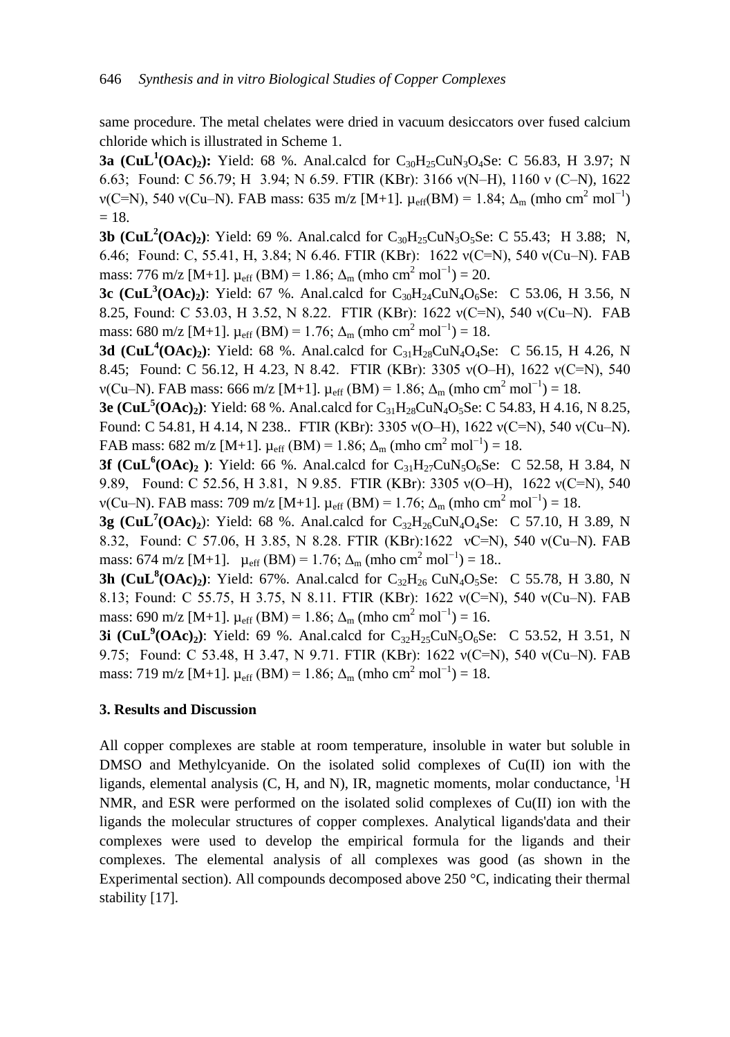same procedure. The metal chelates were dried in vacuum desiccators over fused calcium chloride which is illustrated in Scheme 1.

**3a** (CuL<sup>1</sup>(OAc)<sub>2</sub>): Yield: 68 %. Anal.calcd for C<sub>30</sub>H<sub>25</sub>CuN<sub>3</sub>O<sub>4</sub>Se: C 56.83, H 3.97; N 6.63; Found: C 56.79; H 3.94; N 6.59. FTIR (KBr): 3166 ν(N–H), 1160 ν (C–N), 1622  $ν(C=N)$ , 540  $ν(Cu-N)$ . FAB mass: 635 m/z [M+1].  $μ_{eff}(BM) = 1.84$ ;  $Δ<sub>m</sub>$  (mho cm<sup>2</sup> mol<sup>-1</sup>)  $= 18.$ 

**3b**  $(CuL^2(OAc_2)$ : Yield: 69 %. Anal.calcd for  $C_{30}H_{25}CuN_3O_5Se$ : C 55.43; H 3.88; N, 6.46; Found: C, 55.41, H, 3.84; N 6.46. FTIR (KBr): 1622 ν(C=N), 540 ν(Cu–N). FAB mass: 776 m/z [M+1].  $\mu_{eff}$  (BM) = 1.86;  $\Delta_{m}$  (mho cm<sup>2</sup> mol<sup>-1</sup>) = 20.

**3c** (CuL<sup>3</sup>(OAc)<sub>2</sub>): Yield: 67 %. Anal.calcd for C<sub>30</sub>H<sub>24</sub>CuN<sub>4</sub>O<sub>6</sub>Se: C 53.06, H 3.56, N 8.25, Found: C 53.03, H 3.52, N 8.22. FTIR (KBr): 1622 ν(C=N), 540 ν(Cu–N). FAB mass: 680 m/z [M+1].  $\mu_{eff}$  (BM) = 1.76;  $\Delta_{m}$  (mho cm<sup>2</sup> mol<sup>-1</sup>) = 18.

**3d** (CuL<sup>4</sup>(OAc)<sub>2</sub>): Yield: 68 %. Anal.calcd for  $C_{31}H_{28}CuN_4O_4Se$ : C 56.15, H 4.26, N 8.45; Found: C 56.12, H 4.23, N 8.42. FTIR (KBr): 3305 ν(O–H), 1622 ν(C=N), 540  $ν$ (Cu–N). FAB mass: 666 m/z [M+1].  $μ_{eff}$  (BM) = 1.86; Δ<sub>m</sub> (mho cm<sup>2</sup> mol<sup>-1</sup>) = 18.

**3e (CuL<sup>5</sup> (OAc)2)**: Yield: 68 %. Anal.calcd for C31H28CuN4O5Se: C 54.83, H 4.16, N 8.25, Found: C 54.81, H 4.14, N 238.. FTIR (KBr): 3305 ν(O–H), 1622 ν(C=N), 540 ν(Cu–N). FAB mass:  $682 \text{ m/z}$  [M+1].  $\mu_{\text{eff}}$  (BM) = 1.86;  $\Delta_{\text{m}}$  (mho cm<sup>2</sup> mol<sup>-1</sup>) = 18.

**3f** (CuL<sup>6</sup>(OAc)<sub>2</sub>): Yield: 66 %. Anal.calcd for C<sub>31</sub>H<sub>27</sub>CuN<sub>5</sub>O<sub>6</sub>Se: C 52.58, H 3.84, N 9.89, Found: C 52.56, H 3.81, N 9.85. FTIR (KBr): 3305 ν(O–H), 1622 ν(C=N), 540  $ν$ (Cu–N). FAB mass: 709 m/z [M+1].  $μ_{eff}$  (BM) = 1.76; Δ<sub>m</sub> (mho cm<sup>2</sup> mol<sup>-1</sup>) = 18.

**3g (CuL<sup>7</sup>(OAc)**<sub>2</sub>): Yield: 68 %. Anal.calcd for  $C_{32}H_{26}CuN_4O_4Se: C 57.10, H 3.89, N$ 8.32, Found: C 57.06, H 3.85, N 8.28. FTIR (KBr):1622 νC=N), 540 ν(Cu–N). FAB mass: 674 m/z [M+1].  $\mu_{eff}$  (BM) = 1.76;  $\Delta_{m}$  (mho cm<sup>2</sup> mol<sup>-1</sup>) = 18..

**3h** (CuL<sup>8</sup>(OAc)<sub>2</sub>): Yield: 67%. Anal.calcd for C<sub>32</sub>H<sub>26</sub> CuN<sub>4</sub>O<sub>5</sub>Se: C 55.78, H 3.80, N 8.13; Found: C 55.75, H 3.75, N 8.11. FTIR (KBr): 1622 ν(C=N), 540 ν(Cu–N). FAB mass: 690 m/z [M+1].  $\mu_{eff}$  (BM) = 1.86;  $\Delta_m$  (mho cm<sup>2</sup> mol<sup>-1</sup>) = 16.

**3i** (CuL<sup>9</sup>(OAc)<sub>2</sub>): Yield: 69 %. Anal.calcd for  $C_{32}H_{25}CuN_5O_6Se$ : C 53.52, H 3.51, N 9.75; Found: C 53.48, H 3.47, N 9.71. FTIR (KBr): 1622 ν(C=N), 540 ν(Cu–N). FAB mass: 719 m/z [M+1].  $\mu_{eff}$  (BM) = 1.86;  $\Delta_{m}$  (mho cm<sup>2</sup> mol<sup>-1</sup>) = 18.

# **3. Results and Discussion**

All copper complexes are stable at room temperature, insoluble in water but soluble in DMSO and Methylcyanide. On the isolated solid complexes of  $Cu(II)$  ion with the ligands, elemental analysis  $(C, H, \text{ and } N)$ , IR, magnetic moments, molar conductance,  ${}^{1}H$ NMR, and ESR were performed on the isolated solid complexes of  $Cu(II)$  ion with the ligands the molecular structures of copper complexes. Analytical ligands'data and their complexes were used to develop the empirical formula for the ligands and their complexes. The elemental analysis of all complexes was good (as shown in the Experimental section). All compounds decomposed above 250 °C, indicating their thermal stability [17].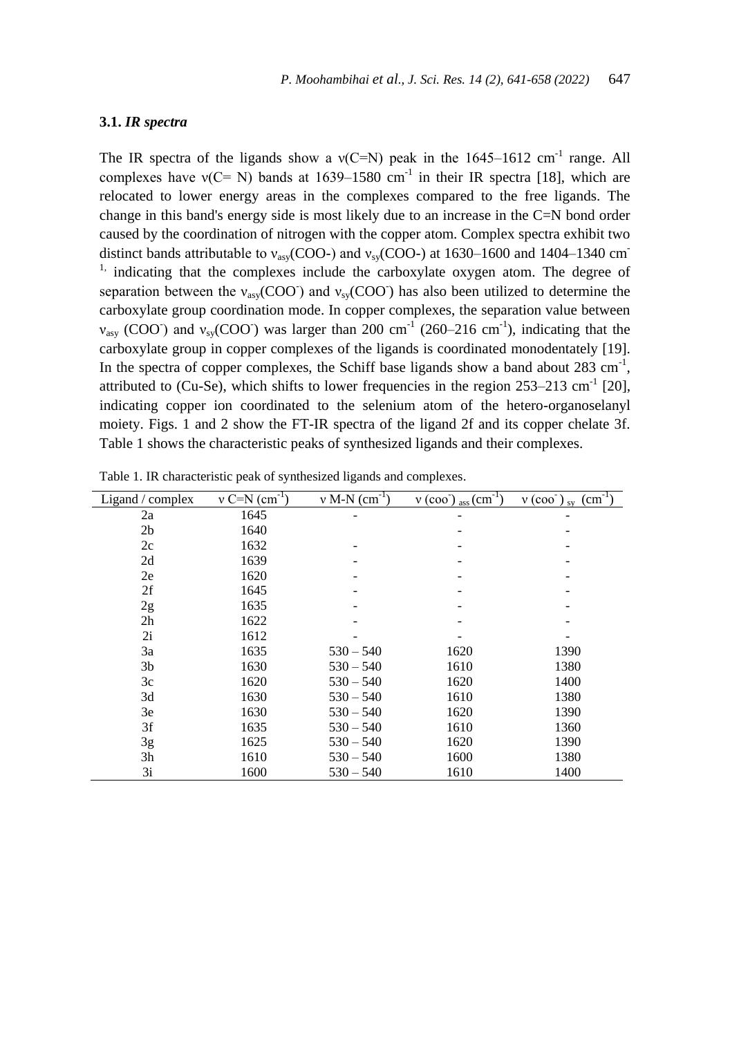# **3.1.** *IR spectra*

The IR spectra of the ligands show a  $v(C=N)$  peak in the 1645–1612 cm<sup>-1</sup> range. All complexes have  $v(C= N)$  bands at 1639–1580 cm<sup>-1</sup> in their IR spectra [18], which are relocated to lower energy areas in the complexes compared to the free ligands. The change in this band's energy side is most likely due to an increase in the C=N bond order caused by the coordination of nitrogen with the copper atom. Complex spectra exhibit two distinct bands attributable to  $v_{\text{asv}}(\text{COO-})$  and  $v_{\text{sv}}(\text{COO-})$  at 1630–1600 and 1404–1340 cm<sup>-</sup> <sup>1,</sup> indicating that the complexes include the carboxylate oxygen atom. The degree of separation between the  $v_{asy}(COO)$  and  $v_{sy}(COO)$  has also been utilized to determine the carboxylate group coordination mode. In copper complexes, the separation value between  $v_{\text{asy}}$  (COO) and  $v_{\text{sy}}$ (COO) was larger than 200 cm<sup>-1</sup> (260–216 cm<sup>-1</sup>), indicating that the carboxylate group in copper complexes of the ligands is coordinated monodentately [19]. In the spectra of copper complexes, the Schiff base ligands show a band about  $283 \text{ cm}^{-1}$ , attributed to (Cu-Se), which shifts to lower frequencies in the region  $253-213$  cm<sup>-1</sup> [20], indicating copper ion coordinated to the selenium atom of the hetero-organoselanyl moiety. Figs. 1 and 2 show the FT-IR spectra of the ligand 2f and its copper chelate 3f. Table 1 shows the characteristic peaks of synthesized ligands and their complexes.

| Ligand / complex | $v \text{ C=N (cm}^{-1})$ | $v$ M-N $(cm^{-1})$ | $v (coo-1)$ ass $(cm-1)$ | $(cm-1)$<br>$v(\cos)$ sv |
|------------------|---------------------------|---------------------|--------------------------|--------------------------|
| 2a               | 1645                      |                     |                          |                          |
| 2 <sub>b</sub>   | 1640                      |                     |                          |                          |
| 2c               | 1632                      |                     |                          |                          |
| 2d               | 1639                      |                     |                          | -                        |
| 2e               | 1620                      |                     |                          | $\qquad \qquad$          |
| 2f               | 1645                      |                     |                          |                          |
| 2g               | 1635                      |                     |                          |                          |
| 2 <sub>h</sub>   | 1622                      |                     |                          |                          |
| 2i               | 1612                      |                     |                          |                          |
| 3a               | 1635                      | $530 - 540$         | 1620                     | 1390                     |
| 3 <sub>b</sub>   | 1630                      | $530 - 540$         | 1610                     | 1380                     |
| 3c               | 1620                      | $530 - 540$         | 1620                     | 1400                     |
| 3d               | 1630                      | $530 - 540$         | 1610                     | 1380                     |
| 3e               | 1630                      | $530 - 540$         | 1620                     | 1390                     |
| 3f               | 1635                      | $530 - 540$         | 1610                     | 1360                     |
| 3g               | 1625                      | $530 - 540$         | 1620                     | 1390                     |
| 3 <sub>h</sub>   | 1610                      | $530 - 540$         | 1600                     | 1380                     |
| 3i               | 1600                      | $530 - 540$         | 1610                     | 1400                     |

Table 1. IR characteristic peak of synthesized ligands and complexes.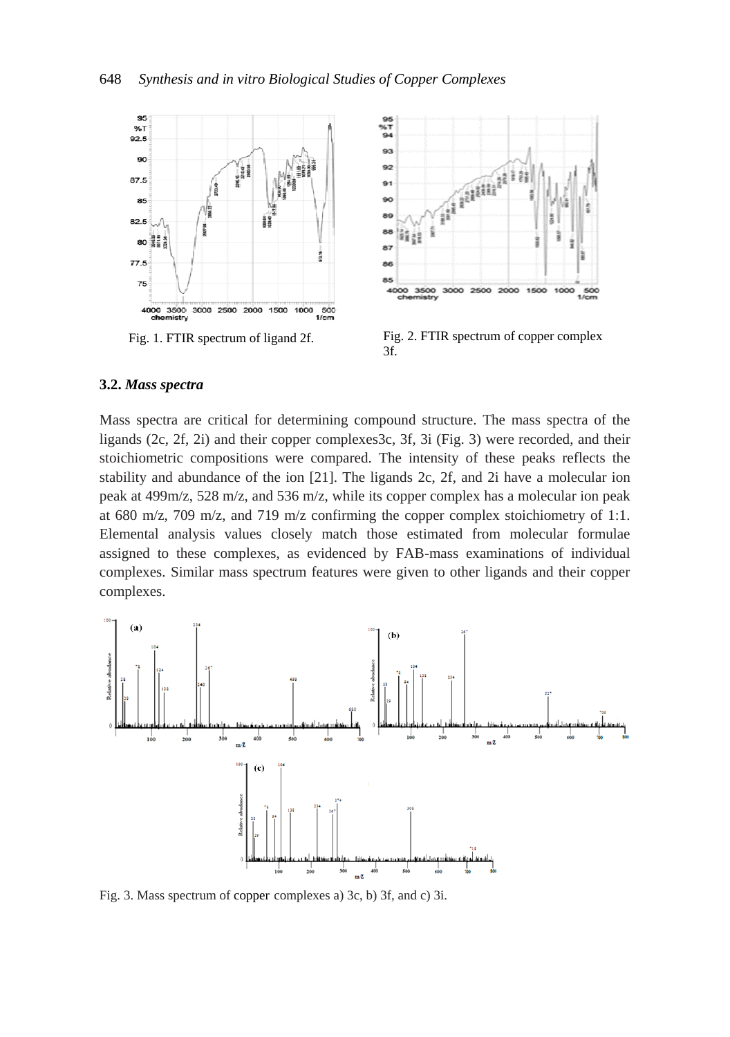



Fig. 1. FTIR spectrum of ligand 2f. Fig. 2. FTIR spectrum of copper complex 3f.

## **3.2.** *Mass spectra*

Mass spectra are critical for determining compound structure. The mass spectra of the ligands (2c, 2f, 2i) and their copper complexes3c, 3f, 3i (Fig. 3) were recorded, and their stoichiometric compositions were compared. The intensity of these peaks reflects the stability and abundance of the ion [21]. The ligands 2c, 2f, and 2i have a molecular ion peak at 499m/z, 528 m/z, and 536 m/z, while its copper complex has a molecular ion peak at 680 m/z, 709 m/z, and 719 m/z confirming the copper complex stoichiometry of 1:1. Elemental analysis values closely match those estimated from molecular formulae assigned to these complexes, as evidenced by FAB-mass examinations of individual complexes. Similar mass spectrum features were given to other ligands and their copper complexes.



Fig. 3. Mass spectrum of copper complexes a) 3c, b) 3f, and c) 3i.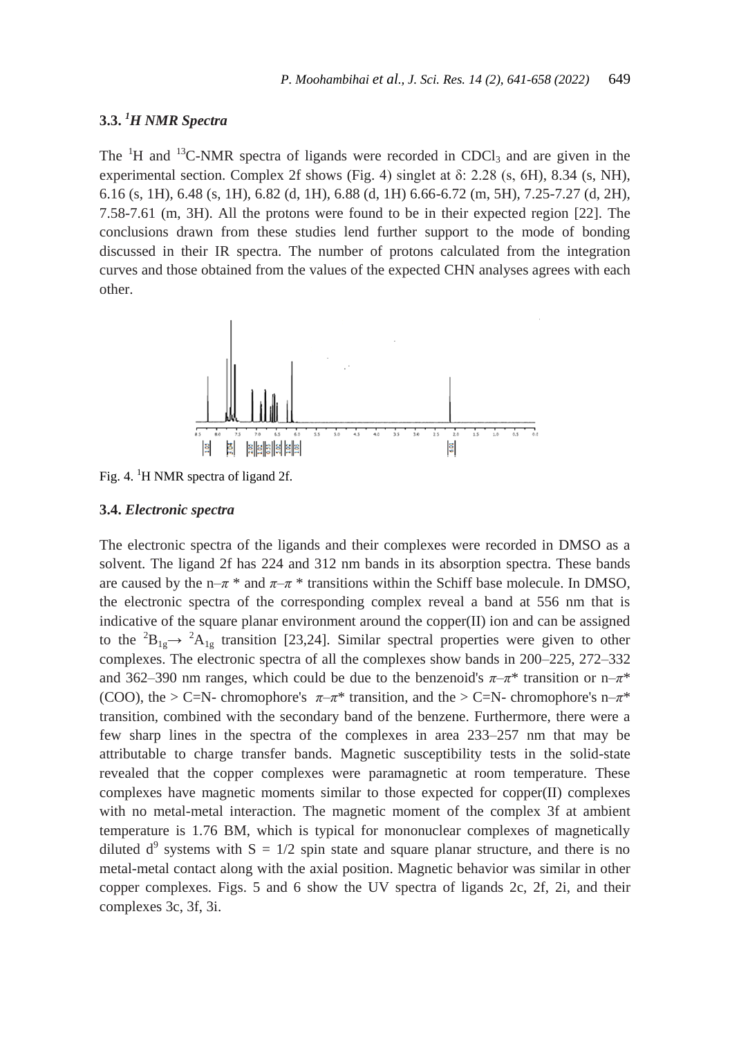# **3.3.** *<sup>1</sup>H NMR Spectra*

The  ${}^{1}H$  and  ${}^{13}C$ -NMR spectra of ligands were recorded in CDCl<sub>3</sub> and are given in the experimental section. Complex 2f shows (Fig. 4) singlet at δ: 2.28 (s, 6H), 8.34 (s, NH), 6.16 (s, 1H), 6.48 (s, 1H), 6.82 (d, 1H), 6.88 (d, 1H) 6.66-6.72 (m, 5H), 7.25-7.27 (d, 2H), 7.58-7.61 (m, 3H). All the protons were found to be in their expected region [22]. The conclusions drawn from these studies lend further support to the mode of bonding discussed in their IR spectra. The number of protons calculated from the integration curves and those obtained from the values of the expected CHN analyses agrees with each other.



Fig. 4. <sup>1</sup>H NMR spectra of ligand 2f.

#### **3.4.** *Electronic spectra*

The electronic spectra of the ligands and their complexes were recorded in DMSO as a solvent. The ligand 2f has 224 and 312 nm bands in its absorption spectra. These bands are caused by the n– $\pi$ <sup>\*</sup> and  $\pi$ – $\pi$ <sup>\*</sup> transitions within the Schiff base molecule. In DMSO, the electronic spectra of the corresponding complex reveal a band at 556 nm that is indicative of the square planar environment around the copper(II) ion and can be assigned to the  ${}^{2}B_{1g} \rightarrow {}^{2}A_{1g}$  transition [23,24]. Similar spectral properties were given to other complexes. The electronic spectra of all the complexes show bands in 200–225, 272–332 and 362–390 nm ranges, which could be due to the benzenoid's  $\pi-\pi^*$  transition or n– $\pi^*$ (COO), the > C=N- chromophore's  $\pi-\pi^*$  transition, and the > C=N- chromophore's n– $\pi^*$ transition, combined with the secondary band of the benzene. Furthermore, there were a few sharp lines in the spectra of the complexes in area 233–257 nm that may be attributable to charge transfer bands. Magnetic susceptibility tests in the solid-state revealed that the copper complexes were paramagnetic at room temperature. These complexes have magnetic moments similar to those expected for copper(II) complexes with no metal-metal interaction. The magnetic moment of the complex 3f at ambient temperature is 1.76 BM, which is typical for mononuclear complexes of magnetically diluted  $d^9$  systems with  $S = 1/2$  spin state and square planar structure, and there is no metal-metal contact along with the axial position. Magnetic behavior was similar in other copper complexes. Figs. 5 and 6 show the UV spectra of ligands 2c, 2f, 2i, and their complexes 3c, 3f, 3i.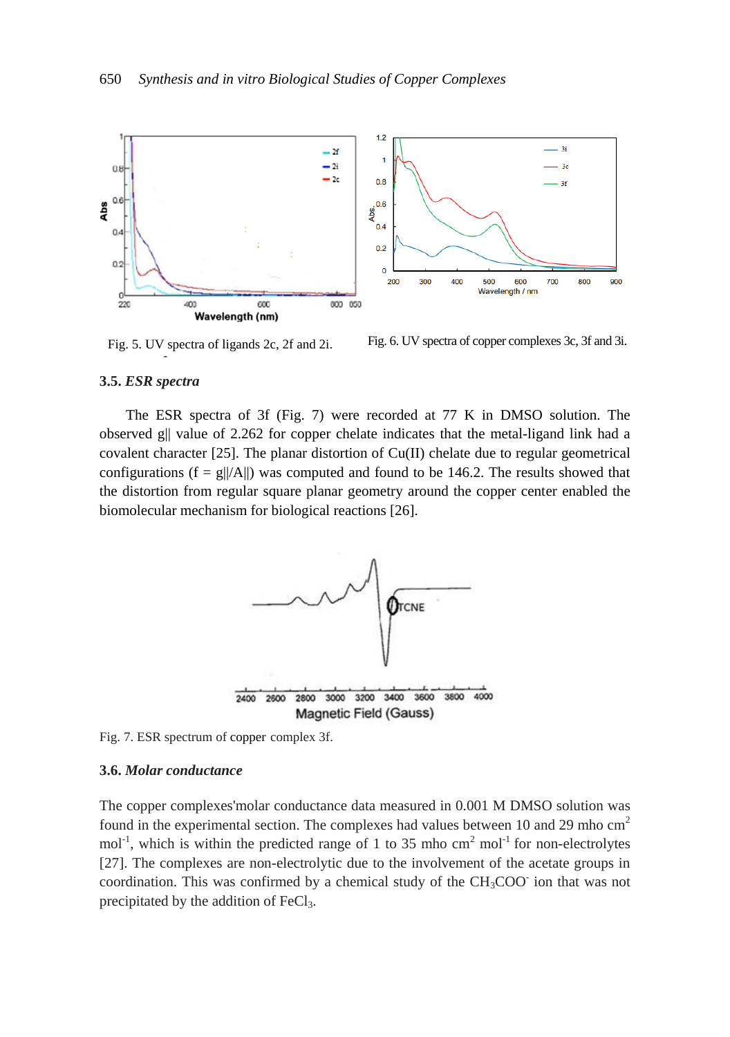

Fig. 5. UV spectra of ligands 2c, 2f and 2i.

Fig. 6. UV spectra of copper complexes 3c, 3f and 3i.

#### **3.5.** *ESR spectra*

The ESR spectra of 3f (Fig. 7) were recorded at 77 K in DMSO solution. The observed g|| value of 2.262 for copper chelate indicates that the metal-ligand link had a covalent character  $[25]$ . The planar distortion of  $Cu(II)$  chelate due to regular geometrical configurations ( $f = g||/A||$ ) was computed and found to be 146.2. The results showed that the distortion from regular square planar geometry around the copper center enabled the biomolecular mechanism for biological reactions [26].



Fig. 7. ESR spectrum of copper complex 3f.

#### **3.6.** *Molar conductance*

The copper complexes'molar conductance data measured in 0.001 M DMSO solution was found in the experimental section. The complexes had values between 10 and 29 mho cm<sup>2</sup>  $mol<sup>-1</sup>$ , which is within the predicted range of 1 to 35 mho cm<sup>2</sup> mol<sup>-1</sup> for non-electrolytes [27]. The complexes are non-electrolytic due to the involvement of the acetate groups in coordination. This was confirmed by a chemical study of the CH<sub>3</sub>COO ion that was not precipitated by the addition of FeCl<sub>3</sub>.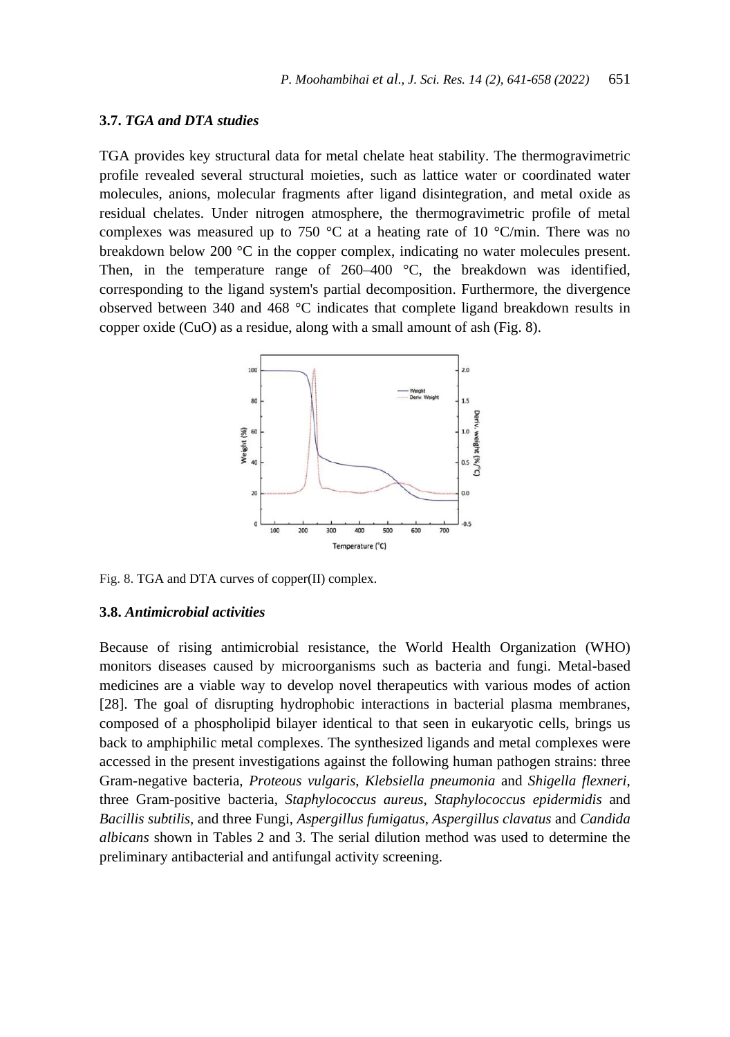#### **3.7.** *TGA and DTA studies*

TGA provides key structural data for metal chelate heat stability. The thermogravimetric profile revealed several structural moieties, such as lattice water or coordinated water molecules, anions, molecular fragments after ligand disintegration, and metal oxide as residual chelates. Under nitrogen atmosphere, the thermogravimetric profile of metal complexes was measured up to 750  $^{\circ}$ C at a heating rate of 10  $^{\circ}$ C/min. There was no breakdown below 200 °C in the copper complex, indicating no water molecules present. Then, in the temperature range of 260–400 °C, the breakdown was identified, corresponding to the ligand system's partial decomposition. Furthermore, the divergence observed between 340 and 468 °C indicates that complete ligand breakdown results in copper oxide (CuO) as a residue, along with a small amount of ash (Fig. 8).



Fig. 8. TGA and DTA curves of copper(II) complex.

#### **3.8.** *Antimicrobial activities*

Because of rising antimicrobial resistance, the World Health Organization (WHO) monitors diseases caused by microorganisms such as bacteria and fungi. Metal-based medicines are a viable way to develop novel therapeutics with various modes of action [28]. The goal of disrupting hydrophobic interactions in bacterial plasma membranes, composed of a phospholipid bilayer identical to that seen in eukaryotic cells, brings us back to amphiphilic metal complexes. The synthesized ligands and metal complexes were accessed in the present investigations against the following human pathogen strains: three Gram-negative bacteria, *Proteous vulgaris*, *Klebsiella pneumonia* and *Shigella flexneri*, three Gram-positive bacteria, *Staphylococcus aureus*, *Staphylococcus epidermidis* and *Bacillis subtilis,* and three Fungi, *Aspergillus fumigatus*, *Aspergillus clavatus* and *Candida albicans* shown in Tables 2 and 3. The serial dilution method was used to determine the preliminary antibacterial and antifungal activity screening.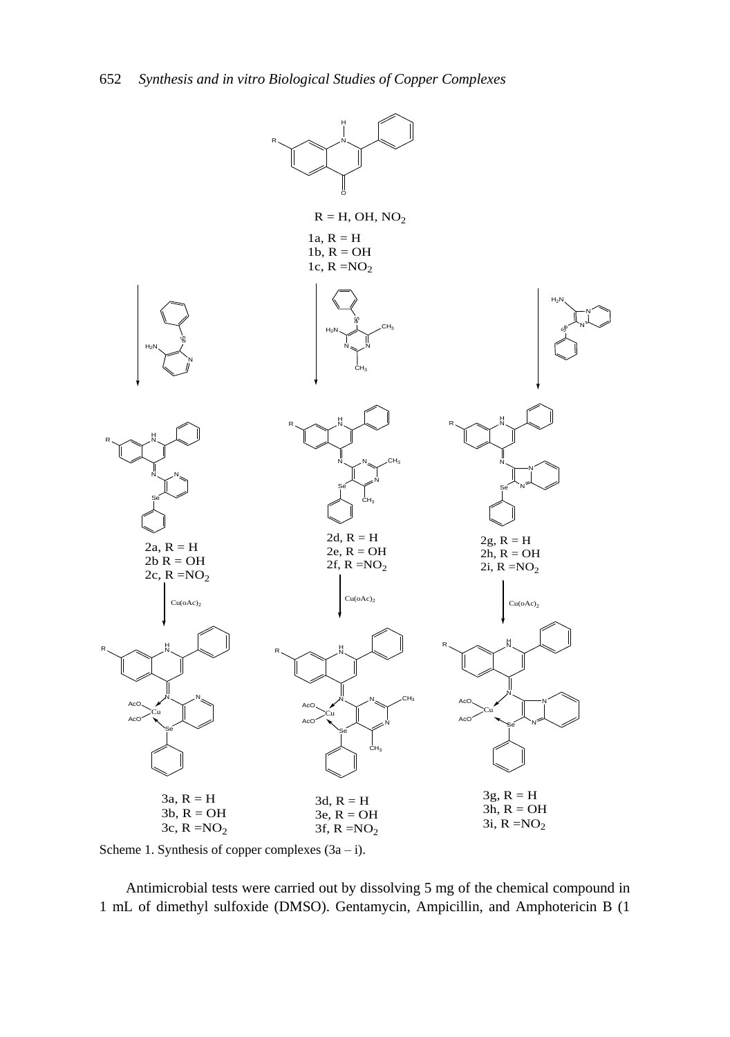

Scheme 1. Synthesis of copper complexes  $(3a - i)$ .

Antimicrobial tests were carried out by dissolving 5 mg of the chemical compound in 1 mL of dimethyl sulfoxide (DMSO). Gentamycin, Ampicillin, and Amphotericin B (1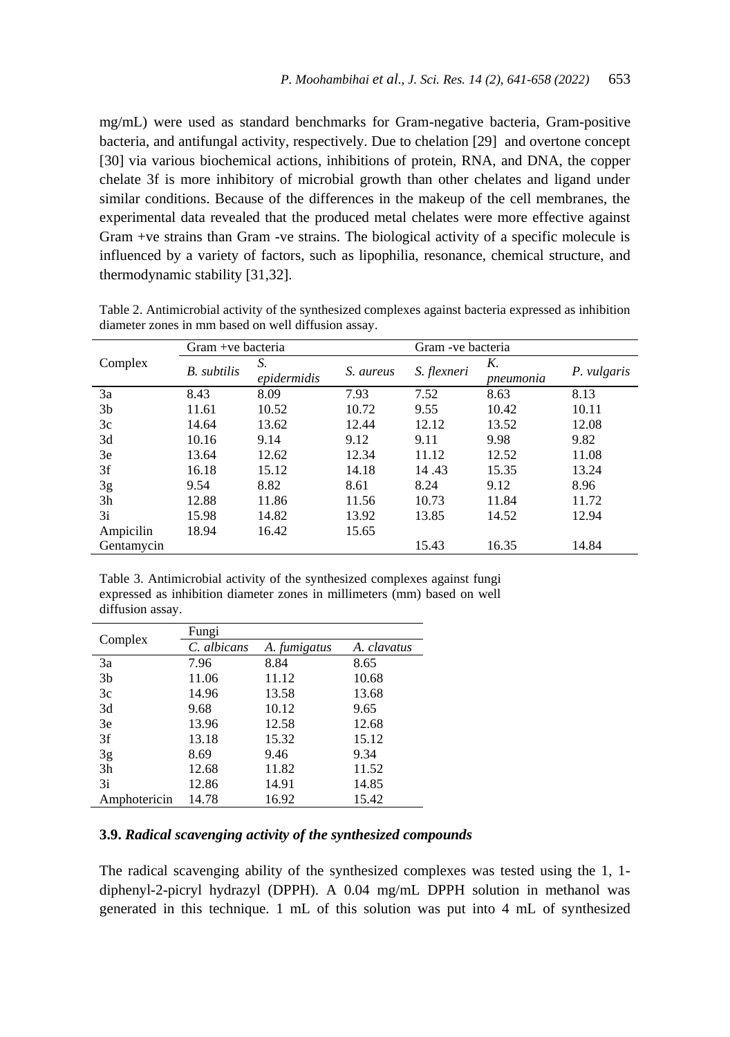mg/mL) were used as standard benchmarks for Gram-negative bacteria, Gram-positive bacteria, and antifungal activity, respectively. Due to chelation [29] and overtone concept [30] via various biochemical actions, inhibitions of protein, RNA, and DNA, the copper chelate 3f is more inhibitory of microbial growth than other chelates and ligand under similar conditions. Because of the differences in the makeup of the cell membranes, the experimental data revealed that the produced metal chelates were more effective against Gram +ve strains than Gram -ve strains. The biological activity of a specific molecule is influenced by a variety of factors, such as lipophilia, resonance, chemical structure, and thermodynamic stability [31,32].

|                | Gram +ve bacteria  |                   |           | Gram - ve bacteria |                 |             |
|----------------|--------------------|-------------------|-----------|--------------------|-----------------|-------------|
| Complex        | <b>B.</b> subtilis | S.<br>epidermidis | S. aureus | S. flexneri        | K.<br>pneumonia | P. vulgaris |
| 3a             | 8.43               | 8.09              | 7.93      | 7.52               | 8.63            | 8.13        |
| 3 <sub>b</sub> | 11.61              | 10.52             | 10.72     | 9.55               | 10.42           | 10.11       |
| 3c             | 14.64              | 13.62             | 12.44     | 12.12              | 13.52           | 12.08       |
| 3d             | 10.16              | 9.14              | 9.12      | 9.11               | 9.98            | 9.82        |
| 3e             | 13.64              | 12.62             | 12.34     | 11.12              | 12.52           | 11.08       |
| 3f             | 16.18              | 15.12             | 14.18     | 14.43              | 15.35           | 13.24       |
| 3g             | 9.54               | 8.82              | 8.61      | 8.24               | 9.12            | 8.96        |
| 3 <sub>h</sub> | 12.88              | 11.86             | 11.56     | 10.73              | 11.84           | 11.72       |
| 3i             | 15.98              | 14.82             | 13.92     | 13.85              | 14.52           | 12.94       |
| Ampicilin      | 18.94              | 16.42             | 15.65     |                    |                 |             |
| Gentamycin     |                    |                   |           | 15.43              | 16.35           | 14.84       |

Table 2. Antimicrobial activity of the synthesized complexes against bacteria expressed as inhibition diameter zones in mm based on well diffusion assay.

Table 3. Antimicrobial activity of the synthesized complexes against fungi expressed as inhibition diameter zones in millimeters (mm) based on well diffusion assay.

|                | Fungi       |              |             |  |  |  |
|----------------|-------------|--------------|-------------|--|--|--|
| Complex        | C. albicans | A. fumigatus | A. clavatus |  |  |  |
| 3a             | 7.96        | 8.84         | 8.65        |  |  |  |
| 3 <sub>b</sub> | 11.06       | 11.12        | 10.68       |  |  |  |
| 3c             | 14.96       | 13.58        | 13.68       |  |  |  |
| 3d             | 9.68        | 10.12        | 9.65        |  |  |  |
| 3e             | 13.96       | 12.58        | 12.68       |  |  |  |
| 3f             | 13.18       | 15.32        | 15.12       |  |  |  |
| 3g             | 8.69        | 9.46         | 9.34        |  |  |  |
| 3h             | 12.68       | 11.82        | 11.52       |  |  |  |
| 3i             | 12.86       | 14.91        | 14.85       |  |  |  |
| Amphotericin   | 14.78       | 16.92        | 15.42       |  |  |  |

#### **3.9.** *Radical scavenging activity of the synthesized compounds*

The radical scavenging ability of the synthesized complexes was tested using the 1, 1 diphenyl-2-picryl hydrazyl (DPPH). A 0.04 mg/mL DPPH solution in methanol was generated in this technique. 1 mL of this solution was put into 4 mL of synthesized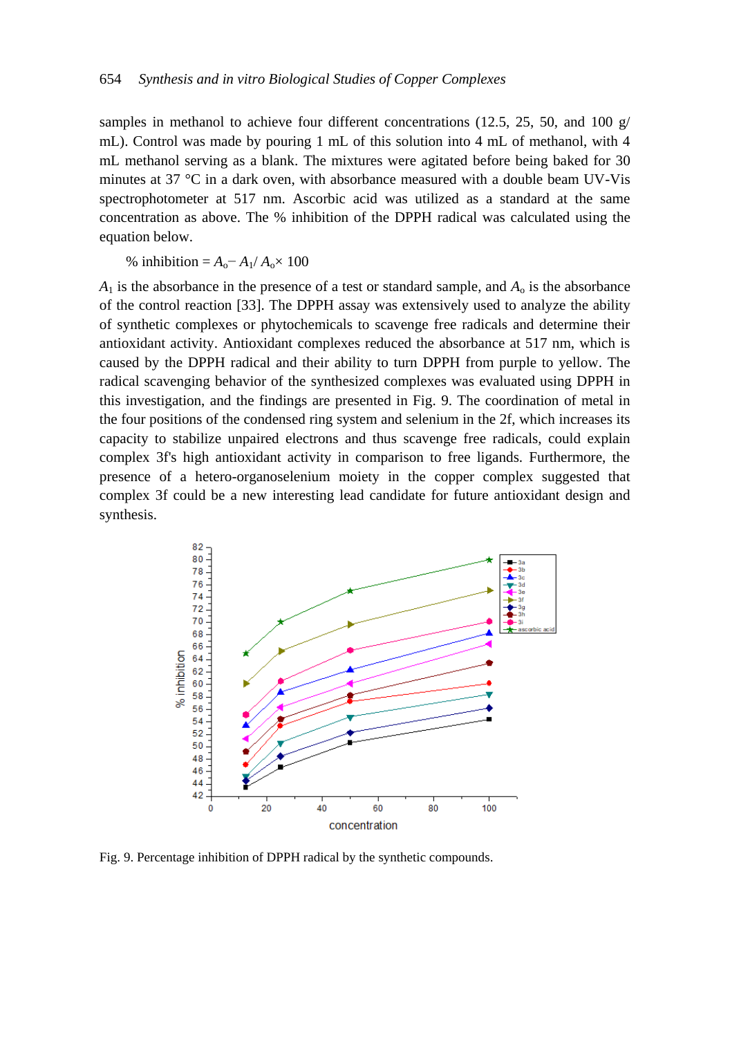samples in methanol to achieve four different concentrations (12.5, 25, 50, and 100  $g/$ ) mL). Control was made by pouring 1 mL of this solution into 4 mL of methanol, with 4 mL methanol serving as a blank. The mixtures were agitated before being baked for 30 minutes at 37 °C in a dark oven, with absorbance measured with a double beam UV-Vis spectrophotometer at 517 nm. Ascorbic acid was utilized as a standard at the same concentration as above. The % inhibition of the DPPH radical was calculated using the equation below.

% inhibition =  $A_0 - A_1 / A_0 \times 100$ 

 $A_1$  is the absorbance in the presence of a test or standard sample, and  $A_0$  is the absorbance of the control reaction [33]. The DPPH assay was extensively used to analyze the ability of synthetic complexes or phytochemicals to scavenge free radicals and determine their antioxidant activity. Antioxidant complexes reduced the absorbance at 517 nm, which is caused by the DPPH radical and their ability to turn DPPH from purple to yellow. The radical scavenging behavior of the synthesized complexes was evaluated using DPPH in this investigation, and the findings are presented in Fig. 9. The coordination of metal in the four positions of the condensed ring system and selenium in the 2f, which increases its capacity to stabilize unpaired electrons and thus scavenge free radicals, could explain complex 3f's high antioxidant activity in comparison to free ligands. Furthermore, the presence of a hetero-organoselenium moiety in the copper complex suggested that complex 3f could be a new interesting lead candidate for future antioxidant design and synthesis.



Fig. 9. Percentage inhibition of DPPH radical by the synthetic compounds.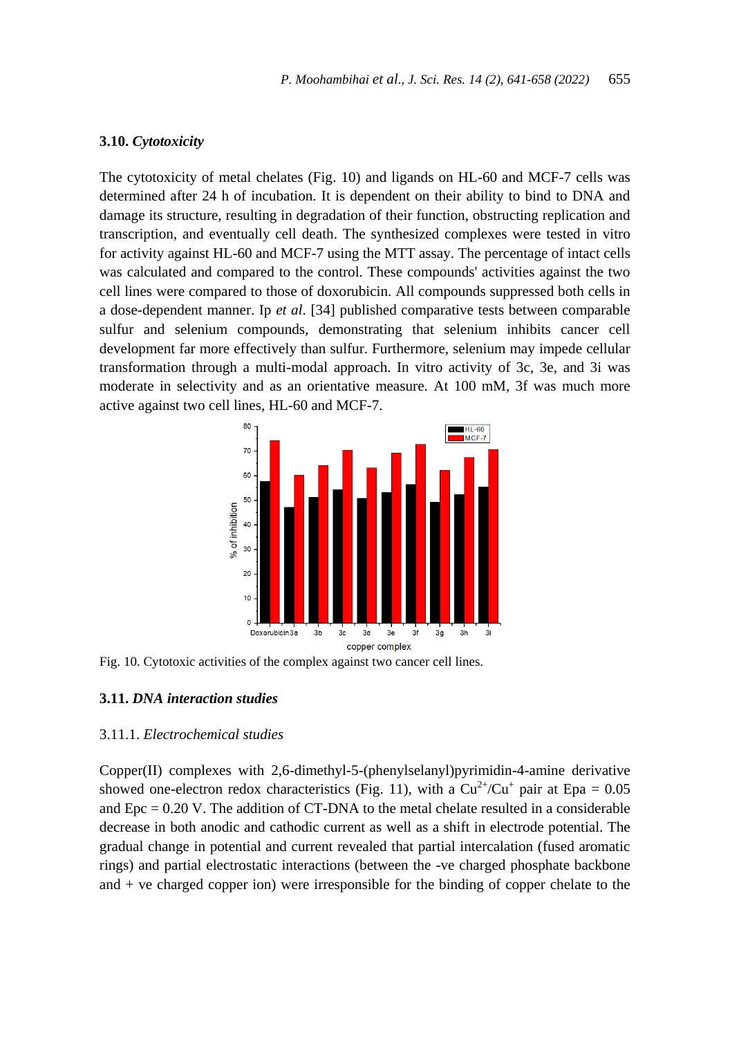### **3.10.** *Cytotoxicity*

The cytotoxicity of metal chelates (Fig. 10) and ligands on HL-60 and MCF-7 cells was determined after 24 h of incubation. It is dependent on their ability to bind to DNA and damage its structure, resulting in degradation of their function, obstructing replication and transcription, and eventually cell death. The synthesized complexes were tested in vitro for activity against HL-60 and MCF-7 using the MTT assay. The percentage of intact cells was calculated and compared to the control. These compounds' activities against the two cell lines were compared to those of doxorubicin. All compounds suppressed both cells in a dose-dependent manner. Ip *et al*. [34] published comparative tests between comparable sulfur and selenium compounds, demonstrating that selenium inhibits cancer cell development far more effectively than sulfur. Furthermore, selenium may impede cellular transformation through a multi-modal approach. In vitro activity of 3c, 3e, and 3i was moderate in selectivity and as an orientative measure. At 100 mM, 3f was much more active against two cell lines, HL-60 and MCF-7.



Fig. 10. Cytotoxic activities of the complex against two cancer cell lines.

# **3.11.** *DNA interaction studies*

# 3.11.1. *Electrochemical studies*

Copper(II) complexes with 2,6-dimethyl-5-(phenylselanyl)pyrimidin-4-amine derivative showed one-electron redox characteristics (Fig. 11), with a  $Cu^{2+}/Cu^{+}$  pair at Epa = 0.05 and  $Epc = 0.20$  V. The addition of CT-DNA to the metal chelate resulted in a considerable decrease in both anodic and cathodic current as well as a shift in electrode potential. The gradual change in potential and current revealed that partial intercalation (fused aromatic rings) and partial electrostatic interactions (between the -ve charged phosphate backbone and + ve charged copper ion) were irresponsible for the binding of copper chelate to the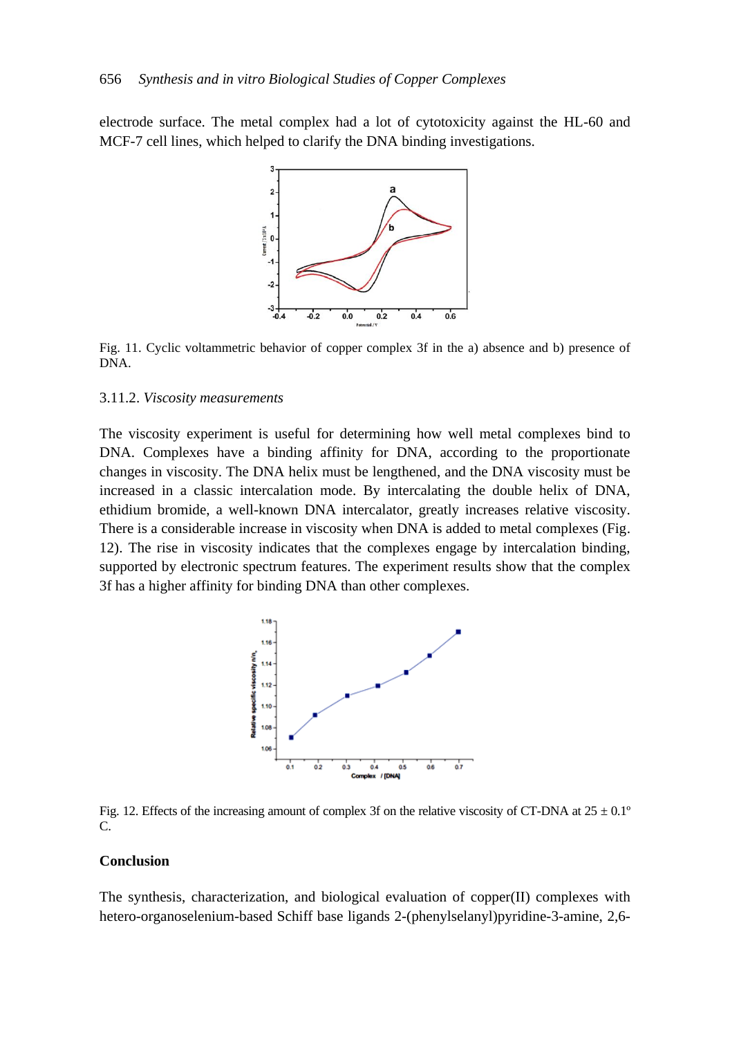electrode surface. The metal complex had a lot of cytotoxicity against the HL-60 and MCF-7 cell lines, which helped to clarify the DNA binding investigations.



Fig. 11. Cyclic voltammetric behavior of copper complex 3f in the a) absence and b) presence of DNA.

#### 3.11.2. *Viscosity measurements*

The viscosity experiment is useful for determining how well metal complexes bind to DNA. Complexes have a binding affinity for DNA, according to the proportionate changes in viscosity. The DNA helix must be lengthened, and the DNA viscosity must be increased in a classic intercalation mode. By intercalating the double helix of DNA, ethidium bromide, a well-known DNA intercalator, greatly increases relative viscosity. There is a considerable increase in viscosity when DNA is added to metal complexes (Fig. 12). The rise in viscosity indicates that the complexes engage by intercalation binding, supported by electronic spectrum features. The experiment results show that the complex 3f has a higher affinity for binding DNA than other complexes.



Fig. 12. Effects of the increasing amount of complex 3f on the relative viscosity of CT-DNA at  $25 \pm 0.1^{\circ}$ C.

#### **Conclusion**

The synthesis, characterization, and biological evaluation of copper(II) complexes with hetero-organoselenium-based Schiff base ligands 2-(phenylselanyl)pyridine-3-amine, 2,6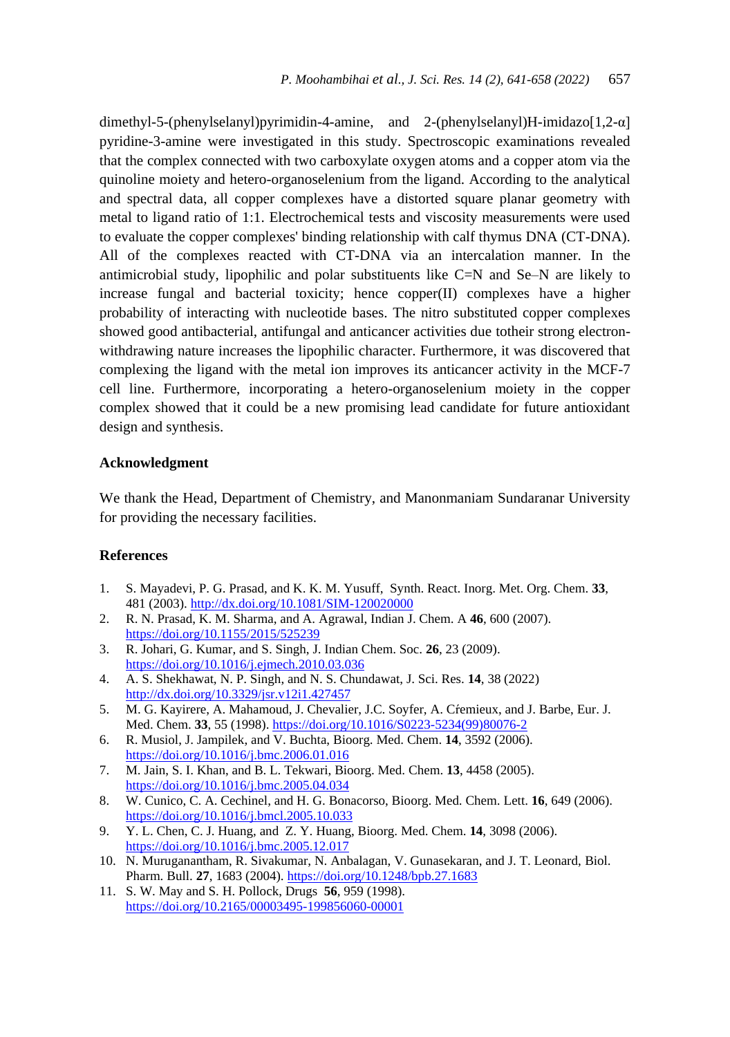dimethyl-5-(phenylselanyl)pyrimidin-4-amine, and 2-(phenylselanyl)H-imidazo[1,2-α] pyridine-3-amine were investigated in this study. Spectroscopic examinations revealed that the complex connected with two carboxylate oxygen atoms and a copper atom via the quinoline moiety and hetero-organoselenium from the ligand. According to the analytical and spectral data, all copper complexes have a distorted square planar geometry with metal to ligand ratio of 1:1. Electrochemical tests and viscosity measurements were used to evaluate the copper complexes' binding relationship with calf thymus DNA (CT-DNA). All of the complexes reacted with CT-DNA via an intercalation manner. In the antimicrobial study, lipophilic and polar substituents like C=N and Se–N are likely to increase fungal and bacterial toxicity; hence copper(II) complexes have a higher probability of interacting with nucleotide bases. The nitro substituted copper complexes showed good antibacterial, antifungal and anticancer activities due totheir strong electronwithdrawing nature increases the lipophilic character. Furthermore, it was discovered that complexing the ligand with the metal ion improves its anticancer activity in the MCF-7 cell line. Furthermore, incorporating a hetero-organoselenium moiety in the copper complex showed that it could be a new promising lead candidate for future antioxidant design and synthesis.

#### **Acknowledgment**

We thank the Head, Department of Chemistry, and Manonmaniam Sundaranar University for providing the necessary facilities.

#### **References**

- 1. S. Mayadevi, P. G. Prasad, and K. K. M. Yusuff, Synth. React. Inorg. Met. Org. Chem. **33**, 481 (2003)[. http://dx.doi.org/10.1081/SIM-120020000](http://dx.doi.org/10.1081/SIM-120020000)
- 2. R. N. Prasad, K. M. Sharma, and A. Agrawal, Indian J. Chem. A **46**, 600 (2007). <https://doi.org/10.1155/2015/525239>
- 3. R. Johari, G. Kumar, and S. Singh, J. Indian Chem. Soc. **26**, 23 (2009). <https://doi.org/10.1016/j.ejmech.2010.03.036>
- 4. A. S. Shekhawat, N. P. Singh, and N. S. Chundawat, J. Sci. Res. **14**, 38 (2022) <http://dx.doi.org/10.3329/jsr.v12i1.427457>
- 5. M. G. Kayirere, A. Mahamoud, J. Chevalier, J.C. Soyfer, A. Cŕemieux, and J. Barbe, Eur. J. Med. Chem. **33**, 55 (1998)[. https://doi.org/10.1016/S0223-5234\(99\)80076-2](https://doi.org/10.1016/S0223-5234(99)80076-2)
- 6. R. Musiol, J. Jampilek, and V. Buchta, Bioorg. Med. Chem. **14**, 3592 (2006). <https://doi.org/10.1016/j.bmc.2006.01.016>
- 7. M. Jain, S. I. Khan, and B. L. Tekwari, Bioorg. Med. Chem. **13**, 4458 (2005). <https://doi.org/10.1016/j.bmc.2005.04.034>
- 8. W. Cunico, C. A. Cechinel, and H. G. Bonacorso, Bioorg. Med. Chem. Lett. **16**, 649 (2006). <https://doi.org/10.1016/j.bmcl.2005.10.033>
- 9. Y. L. Chen, C. J. Huang, and Z. Y. Huang, Bioorg. Med. Chem. **14**, 3098 (2006). <https://doi.org/10.1016/j.bmc.2005.12.017>
- 10. N. Muruganantham, R. Sivakumar, N. Anbalagan, V. Gunasekaran, and J. T. Leonard, Biol. Pharm. Bull. **27**, 1683 (2004)[. https://doi.org/10.1248/bpb.27.1683](https://doi.org/10.1248/bpb.27.1683)
- 11. S. W. May and S. H. Pollock, Drugs **56**, 959 (1998). <https://doi.org/10.2165/00003495-199856060-00001>